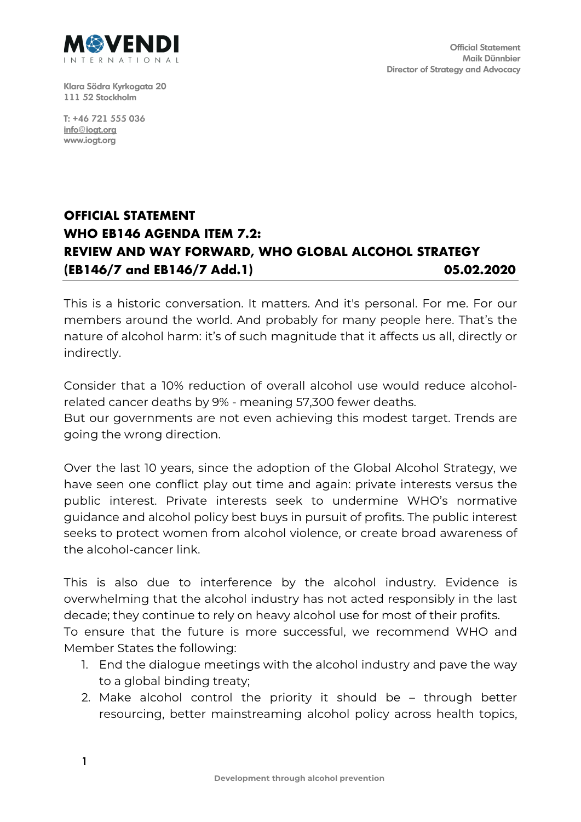

**Klara Södra Kyrkogata 20 111 52 Stockholm**

**T: +46 721 555 036 info@iogt.org www.iogt.org**

## **OFFICIAL STATEMENT WHO EB146 AGENDA ITEM 7.2: REVIEW AND WAY FORWARD, WHO GLOBAL ALCOHOL STRATEGY (EB146/7 and EB146/7 Add.1) 05.02.2020**

This is a historic conversation. It matters. And it's personal. For me. For our members around the world. And probably for many people here. That's the nature of alcohol harm: it's of such magnitude that it affects us all, directly or indirectly.

Consider that a 10% reduction of overall alcohol use would reduce alcoholrelated cancer deaths by 9% - meaning 57,300 fewer deaths.

But our governments are not even achieving this modest target. Trends are going the wrong direction.

Over the last 10 years, since the adoption of the Global Alcohol Strategy, we have seen one conflict play out time and again: private interests versus the public interest. Private interests seek to undermine WHO's normative guidance and alcohol policy best buys in pursuit of profits. The public interest seeks to protect women from alcohol violence, or create broad awareness of the alcohol-cancer link.

This is also due to interference by the alcohol industry. Evidence is overwhelming that the alcohol industry has not acted responsibly in the last decade; they continue to rely on heavy alcohol use for most of their profits. To ensure that the future is more successful, we recommend WHO and Member States the following:

- 1. End the dialogue meetings with the alcohol industry and pave the way to a global binding treaty;
- 2. Make alcohol control the priority it should be through better resourcing, better mainstreaming alcohol policy across health topics,